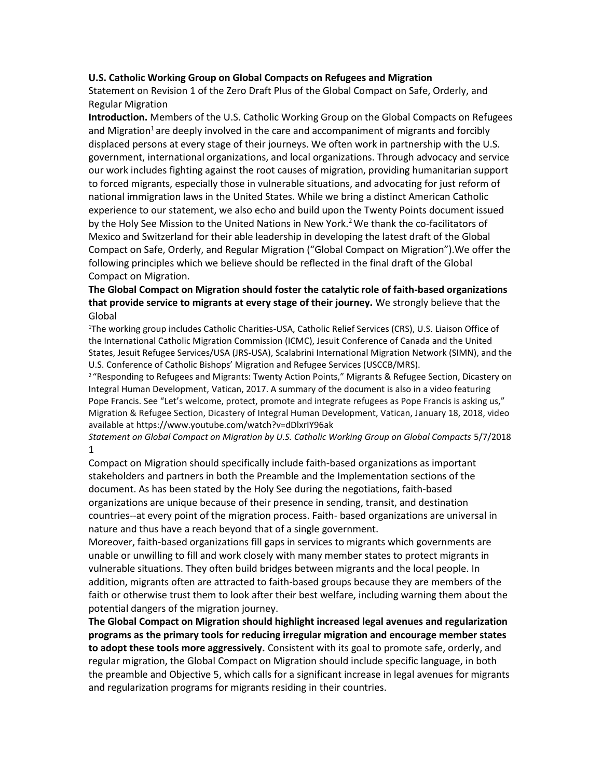## **U.S. Catholic Working Group on Global Compacts on Refugees and Migration**

Statement on Revision 1 of the Zero Draft Plus of the Global Compact on Safe, Orderly, and Regular Migration

**Introduction.** Members of the U.S. Catholic Working Group on the Global Compacts on Refugees and Migration<sup>1</sup> are deeply involved in the care and accompaniment of migrants and forcibly displaced persons at every stage of their journeys. We often work in partnership with the U.S. government, international organizations, and local organizations. Through advocacy and service our work includes fighting against the root causes of migration, providing humanitarian support to forced migrants, especially those in vulnerable situations, and advocating for just reform of national immigration laws in the United States. While we bring a distinct American Catholic experience to our statement, we also echo and build upon the Twenty Points document issued by the Holy See Mission to the United Nations in New York.<sup>2</sup> We thank the co-facilitators of Mexico and Switzerland for their able leadership in developing the latest draft of the Global Compact on Safe, Orderly, and Regular Migration ("Global Compact on Migration").We offer the following principles which we believe should be reflected in the final draft of the Global Compact on Migration.

## **The Global Compact on Migration should foster the catalytic role of faith-based organizations that provide service to migrants at every stage of their journey.** We strongly believe that the Global

<sup>1</sup>The working group includes Catholic Charities-USA, Catholic Relief Services (CRS), U.S. Liaison Office of the International Catholic Migration Commission (ICMC), Jesuit Conference of Canada and the United States, Jesuit Refugee Services/USA (JRS-USA), Scalabrini International Migration Network (SIMN), and the U.S. Conference of Catholic Bishops' Migration and Refugee Services (USCCB/MRS).

<sup>2</sup> "Responding to Refugees and Migrants: Twenty Action Points," Migrants & Refugee Section, Dicastery on Integral Human Development, Vatican, 2017. A summary of the document is also in a video featuring Pope Francis. See "Let's welcome, protect, promote and integrate refugees as Pope Francis is asking us," Migration & Refugee Section, Dicastery of Integral Human Development, Vatican, January 18, 2018, video available at https://www.youtube.com/watch?v=dDlxrIY96ak

*Statement on Global Compact on Migration by U.S. Catholic Working Group on Global Compacts* 5/7/2018 1

Compact on Migration should specifically include faith-based organizations as important stakeholders and partners in both the Preamble and the Implementation sections of the document. As has been stated by the Holy See during the negotiations, faith-based organizations are unique because of their presence in sending, transit, and destination countries--at every point of the migration process. Faith- based organizations are universal in nature and thus have a reach beyond that of a single government.

Moreover, faith-based organizations fill gaps in services to migrants which governments are unable or unwilling to fill and work closely with many member states to protect migrants in vulnerable situations. They often build bridges between migrants and the local people. In addition, migrants often are attracted to faith-based groups because they are members of the faith or otherwise trust them to look after their best welfare, including warning them about the potential dangers of the migration journey.

**The Global Compact on Migration should highlight increased legal avenues and regularization programs as the primary tools for reducing irregular migration and encourage member states to adopt these tools more aggressively.** Consistent with its goal to promote safe, orderly, and regular migration, the Global Compact on Migration should include specific language, in both the preamble and Objective 5, which calls for a significant increase in legal avenues for migrants and regularization programs for migrants residing in their countries.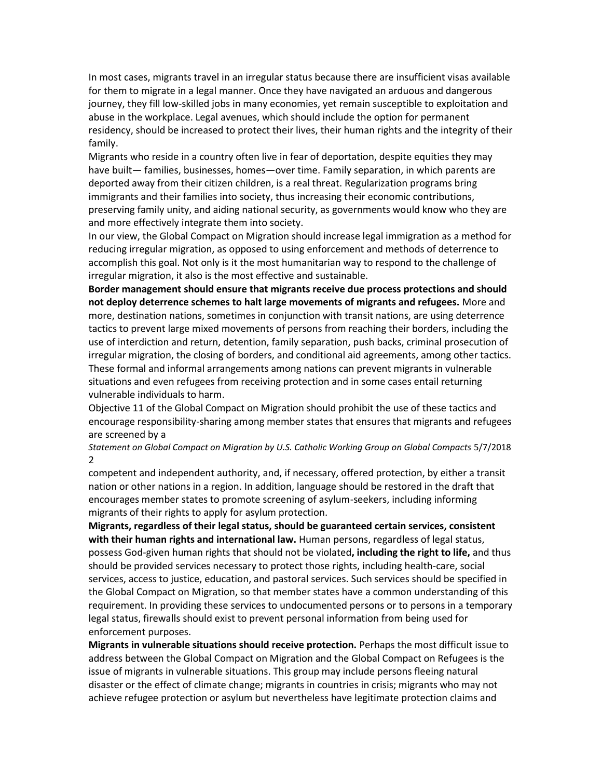In most cases, migrants travel in an irregular status because there are insufficient visas available for them to migrate in a legal manner. Once they have navigated an arduous and dangerous journey, they fill low-skilled jobs in many economies, yet remain susceptible to exploitation and abuse in the workplace. Legal avenues, which should include the option for permanent residency, should be increased to protect their lives, their human rights and the integrity of their family.

Migrants who reside in a country often live in fear of deportation, despite equities they may have built— families, businesses, homes—over time. Family separation, in which parents are deported away from their citizen children, is a real threat. Regularization programs bring immigrants and their families into society, thus increasing their economic contributions, preserving family unity, and aiding national security, as governments would know who they are and more effectively integrate them into society.

In our view, the Global Compact on Migration should increase legal immigration as a method for reducing irregular migration, as opposed to using enforcement and methods of deterrence to accomplish this goal. Not only is it the most humanitarian way to respond to the challenge of irregular migration, it also is the most effective and sustainable.

**Border management should ensure that migrants receive due process protections and should not deploy deterrence schemes to halt large movements of migrants and refugees.** More and more, destination nations, sometimes in conjunction with transit nations, are using deterrence tactics to prevent large mixed movements of persons from reaching their borders, including the use of interdiction and return, detention, family separation, push backs, criminal prosecution of irregular migration, the closing of borders, and conditional aid agreements, among other tactics. These formal and informal arrangements among nations can prevent migrants in vulnerable situations and even refugees from receiving protection and in some cases entail returning vulnerable individuals to harm.

Objective 11 of the Global Compact on Migration should prohibit the use of these tactics and encourage responsibility-sharing among member states that ensures that migrants and refugees are screened by a

*Statement on Global Compact on Migration by U.S. Catholic Working Group on Global Compacts* 5/7/2018 2

competent and independent authority, and, if necessary, offered protection, by either a transit nation or other nations in a region. In addition, language should be restored in the draft that encourages member states to promote screening of asylum-seekers, including informing migrants of their rights to apply for asylum protection.

**Migrants, regardless of their legal status, should be guaranteed certain services, consistent with their human rights and international law.** Human persons, regardless of legal status, possess God-given human rights that should not be violated**, including the right to life,** and thus should be provided services necessary to protect those rights, including health-care, social services, access to justice, education, and pastoral services. Such services should be specified in the Global Compact on Migration, so that member states have a common understanding of this requirement. In providing these services to undocumented persons or to persons in a temporary legal status, firewalls should exist to prevent personal information from being used for enforcement purposes.

**Migrants in vulnerable situations should receive protection.** Perhaps the most difficult issue to address between the Global Compact on Migration and the Global Compact on Refugees is the issue of migrants in vulnerable situations. This group may include persons fleeing natural disaster or the effect of climate change; migrants in countries in crisis; migrants who may not achieve refugee protection or asylum but nevertheless have legitimate protection claims and